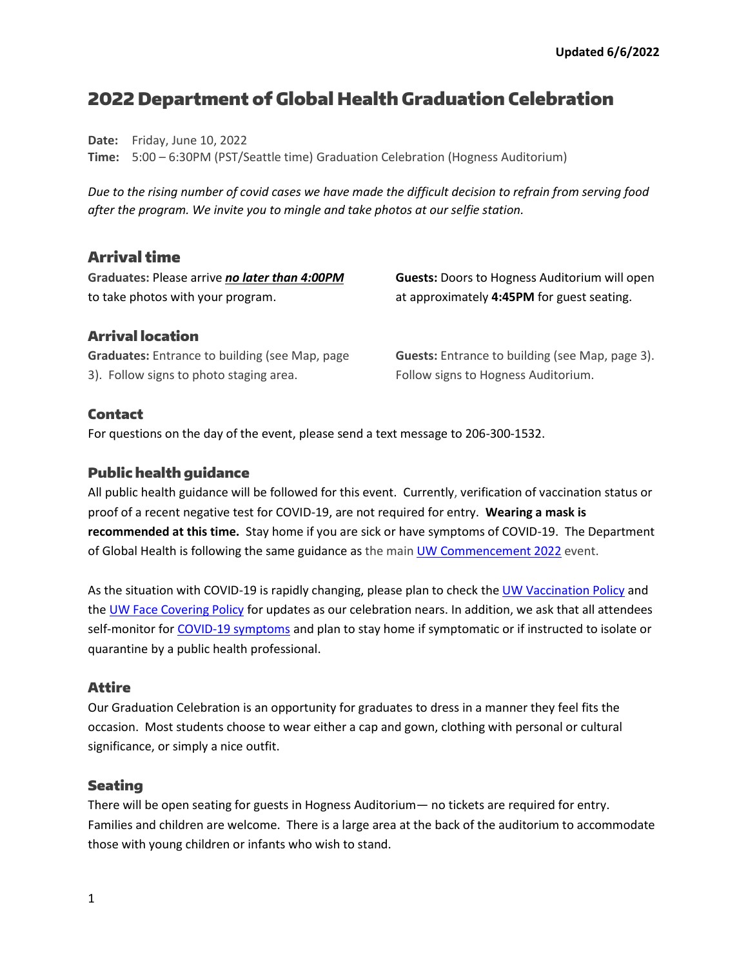# 2022 Department of Global Health Graduation Celebration

**Date:** Friday, June 10, 2022

**Time:** 5:00 – 6:30PM (PST/Seattle time) Graduation Celebration (Hogness Auditorium)

*Due to the rising number of covid cases we have made the difficult decision to refrain from serving food after the program. We invite you to mingle and take photos at our selfie station.*

# Arrival time

**Graduates:** Please arrive *no later than 4:00PM* to take photos with your program.

**Guests:** Doors to Hogness Auditorium will open at approximately **4:45PM** for guest seating.

## Arrival location

**Graduates:** Entrance to building (see Map, page 3). Follow signs to photo staging area.

**Guests:** Entrance to building (see Map, page 3). Follow signs to Hogness Auditorium.

## Contact

For questions on the day of the event, please send a text message to 206-300-1532.

#### Public health guidance

All public health guidance will be followed for this event. Currently, verification of vaccination status or proof of a recent negative test for COVID-19, are not required for entry. **Wearing a mask is recommended at this time.** Stay home if you are sick or have symptoms of COVID-19. The Department of Global Health is following the same guidance as the main [UW Commencement 2022](https://www.washington.edu/graduation/public-health-guidance/) event.

As the situation with COVID-19 is rapidly changing, please plan to check the [UW Vaccination Policy](http://discover.uw.edu/MTMxLUFRTy0yMjUAAAGD3bNpOfChS9yjA5mvFdRouxOoyNwhXGOhqm1SDw9AtqKVzcEH3eoU9noAV9Kq90rA-1Pq_44=) and th[e UW Face Covering Policy](http://discover.uw.edu/MTMxLUFRTy0yMjUAAAGD3bNpOvmdAQDqXlqNJTqN1SW59-ZDt7YO713QREEETwX5blr75dRcGsizLoVsUbI70lMwoUE=) for updates as our celebration nears. In addition, we ask that all attendees self-monitor for [COVID-19 symptoms](http://discover.uw.edu/MTMxLUFRTy0yMjUAAAGD3bNpOtqEWeBJpdxZfXKoiJgylm8lSIAyqL-EaRjZkll3OToqFgvFlVuoiXKjdeDRSTKVA40=) and plan to stay home if symptomatic or if instructed to isolate or quarantine by a public health professional.

#### Attire

Our Graduation Celebration is an opportunity for graduates to dress in a manner they feel fits the occasion. Most students choose to wear either a cap and gown, clothing with personal or cultural significance, or simply a nice outfit.

#### Seating

There will be open seating for guests in Hogness Auditorium— no tickets are required for entry. Families and children are welcome. There is a large area at the back of the auditorium to accommodate those with young children or infants who wish to stand.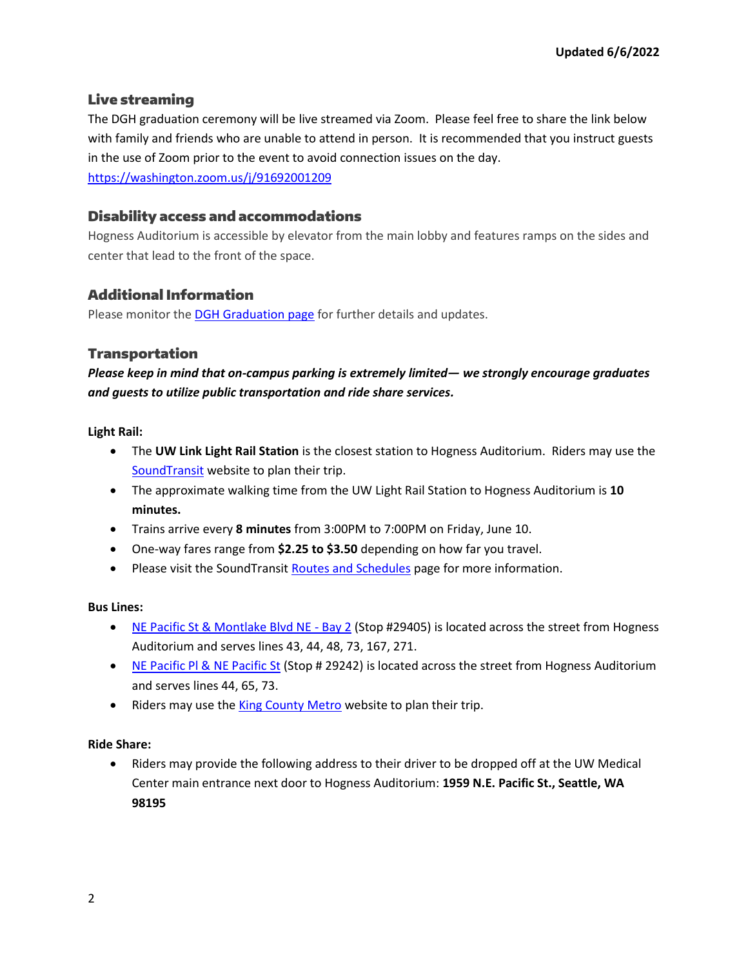## Live streaming

The DGH graduation ceremony will be live streamed via Zoom. Please feel free to share the link below with family and friends who are unable to attend in person. It is recommended that you instruct guests in the use of Zoom prior to the event to avoid connection issues on the day. <https://washington.zoom.us/j/91692001209>

## Disability access and accommodations

Hogness Auditorium is accessible by elevator from the main lobby and features ramps on the sides and center that lead to the front of the space.

# Additional Information

Please monitor the **DGH Graduation page** for further details and updates.

## Transportation

*Please keep in mind that on-campus parking is extremely limited— we strongly encourage graduates and guests to utilize public transportation and ride share services.* 

**Light Rail:**

- The **UW Link Light Rail Station** is the closest station to Hogness Auditorium. Riders may use the [SoundTransit](https://www.soundtransit.org/) website to plan their trip.
- The approximate walking time from the UW Light Rail Station to Hogness Auditorium is **10 minutes.**
- Trains arrive every **8 minutes** from 3:00PM to 7:00PM on Friday, June 10.
- One-way fares range from **\$2.25 to \$3.50** depending on how far you travel.
- Please visit the SoundTransi[t Routes and Schedules](https://www.soundtransit.org/ride-with-us/routes-schedules/1-line?at=1654844400000&direction=1&view=table&route_tab=more_info&stops_0=1_990006%2C1_99913&stops_1=1_99914%2C1_990005) page for more information.

#### **Bus Lines:**

- [NE Pacific St & Montlake Blvd NE -](https://www.soundtransit.org/ride-with-us/stops-stations/1_29405) Bay 2 (Stop #29405) is located across the street from Hogness Auditorium and serves lines 43, 44, 48, 73, 167, 271.
- [NE Pacific Pl & NE Pacific St](https://www.soundtransit.org/ride-with-us/stops-stations/1_29242) (Stop # 29242) is located across the street from Hogness Auditorium and serves lines 44, 65, 73.
- Riders may use the [King County Metro](https://kingcounty.gov/depts/transportation/metro.aspx) website to plan their trip.

#### **Ride Share:**

• Riders may provide the following address to their driver to be dropped off at the UW Medical Center main entrance next door to Hogness Auditorium: **1959 N.E. Pacific St., Seattle, WA 98195**